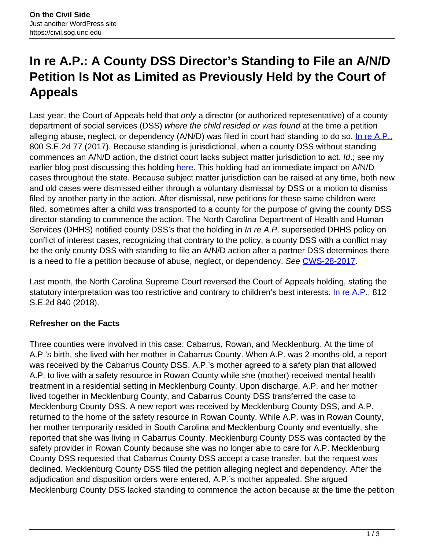# **In re A.P.: A County DSS Director's Standing to File an A/N/D Petition Is Not as Limited as Previously Held by the Court of Appeals**

Last year, the Court of Appeals held that only a director (or authorized representative) of a county department of social services (DSS) where the child resided or was found at the time a petition alleging abuse, neglect, or dependency (A/N/D) was filed in court had standing to do so. [In re A.P.,](https://appellate.nccourts.org/opinions/?c=2&pdf=35496) 800 S.E.2d 77 (2017). Because standing is jurisdictional, when a county DSS without standing commences an A/N/D action, the district court lacks subject matter jurisdiction to act. Id.; see my earlier blog post discussing this holding here. This holding had an immediate impact on A/N/D cases throughout the state. Because subject matter jurisdiction can be raised at any time, both new and old cases were dismissed either through a voluntary dismissal by DSS or a motion to dismiss filed by another party in the action. After dismissal, new petitions for these same children were filed, sometimes after a child was transported to a county for the purpose of giving the county DSS director standing to commence the action. The North Carolina Department of Health and Human Services (DHHS) notified county DSS's that the holding in In re A.P. superseded DHHS policy on conflict of interest cases, recognizing that contrary to the policy, a county DSS with a conflict may be the only county DSS with standing to file an A/N/D action after a partner DSS determines there is a need to file a petition because of abuse, neglect, or dependency. See CWS-28-2017.

Last month, the North Carolina Supreme Court reversed the Court of Appeals holding, stating the statutory interpretation was too restrictive and contrary to children's best interests. In re A.P., 812 S.E.2d 840 (2018).

## **Refresher on the Facts**

Three counties were involved in this case: Cabarrus, Rowan, and Mecklenburg. At the time of A.P.'s birth, she lived with her mother in Cabarrus County. When A.P. was 2-months-old, a report was received by the Cabarrus County DSS. A.P.'s mother agreed to a safety plan that allowed A.P. to live with a safety resource in Rowan County while she (mother) received mental health treatment in a residential setting in Mecklenburg County. Upon discharge, A.P. and her mother lived together in Mecklenburg County, and Cabarrus County DSS transferred the case to Mecklenburg County DSS. A new report was received by Mecklenburg County DSS, and A.P. returned to the home of the safety resource in Rowan County. While A.P. was in Rowan County, her mother temporarily resided in South Carolina and Mecklenburg County and eventually, she reported that she was living in Cabarrus County. Mecklenburg County DSS was contacted by the safety provider in Rowan County because she was no longer able to care for A.P. Mecklenburg County DSS requested that Cabarrus County DSS accept a case transfer, but the request was declined. Mecklenburg County DSS filed the petition alleging neglect and dependency. After the adjudication and disposition orders were entered, A.P.'s mother appealed. She argued Mecklenburg County DSS lacked standing to commence the action because at the time the petition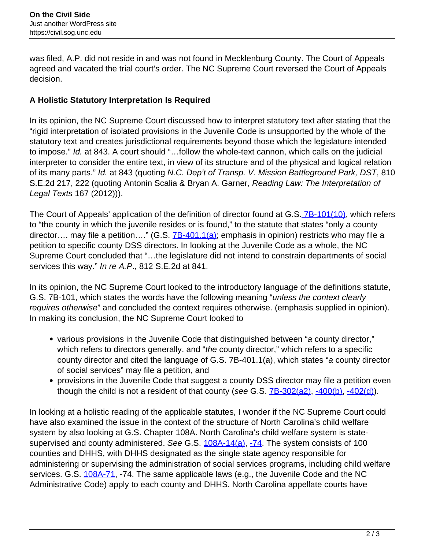was filed, A.P. did not reside in and was not found in Mecklenburg County. The Court of Appeals agreed and vacated the trial court's order. The NC Supreme Court reversed the Court of Appeals decision.

## **A Holistic Statutory Interpretation Is Required**

In its opinion, the NC Supreme Court discussed how to interpret statutory text after stating that the "rigid interpretation of isolated provisions in the Juvenile Code is unsupported by the whole of the statutory text and creates jurisdictional requirements beyond those which the legislature intended to impose." Id. at 843. A court should "...follow the whole-text cannon, which calls on the judicial interpreter to consider the entire text, in view of its structure and of the physical and logical relation of its many parts." Id. at 843 (quoting N.C. Dep't of Transp. V. Mission Battleground Park, DST, 810 S.E.2d 217, 222 (quoting Antonin Scalia & Bryan A. Garner, Reading Law: The Interpretation of Legal Texts 167 (2012))).

The Court of Appeals' application of the definition of director found at G.S. 7B-101(10), which refers to "the county in which the juvenile resides or is found," to the statute that states "only a county director.... may file a petition...." (G.S. 7B-401.1(a); emphasis in opinion) restricts who may file a petition to specific county DSS directors. In looking at the Juvenile Code as a whole, the NC Supreme Court concluded that "…the legislature did not intend to constrain departments of social services this way." In re A.P., 812 S.E.2d at 841.

In its opinion, the NC Supreme Court looked to the introductory language of the definitions statute, G.S. 7B-101, which states the words have the following meaning "unless the context clearly requires otherwise" and concluded the context requires otherwise. (emphasis supplied in opinion). In making its conclusion, the NC Supreme Court looked to

- various provisions in the Juvenile Code that distinguished between "a county director," which refers to directors generally, and "the county director," which refers to a specific county director and cited the language of G.S. 7B-401.1(a), which states "a county director of social services" may file a petition, and
- provisions in the Juvenile Code that suggest a county DSS director may file a petition even though the child is not a resident of that county (see G.S.  $7B-302(a2)$ ,  $-400(b)$ ,  $-402(d)$ ).

In looking at a holistic reading of the applicable statutes, I wonder if the NC Supreme Court could have also examined the issue in the context of the structure of North Carolina's child welfare system by also looking at G.S. Chapter 108A. North Carolina's child welfare system is statesupervised and county administered. See G.S. 108A-14(a), -74. The system consists of 100 counties and DHHS, with DHHS designated as the single state agency responsible for administering or supervising the administration of social services programs, including child welfare services. G.S. 108A-71, -74. The same applicable laws (e.g., the Juvenile Code and the NC Administrative Code) apply to each county and DHHS. North Carolina appellate courts have